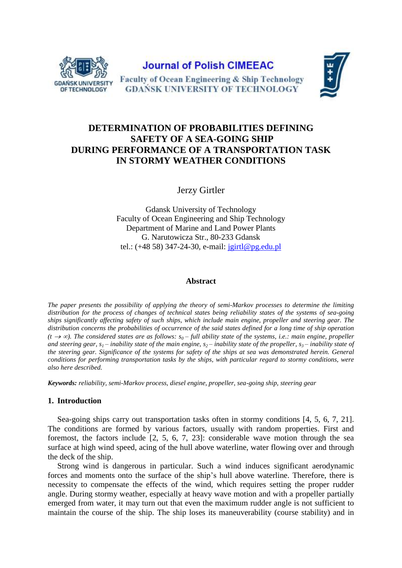

**Journal of Polish CIMEEAC** 



Faculty of Ocean Engineering & Ship Technology **GDANSK UNIVERSITY OF TECHNOLOGY** 

# **DETERMINATION OF PROBABILITIES DEFINING SAFETY OF A SEA-GOING SHIP DURING PERFORMANCE OF A TRANSPORTATION TASK IN STORMY WEATHER CONDITIONS**

Jerzy Girtler

Gdansk University of Technology Faculty of Ocean Engineering and Ship Technology Department of Marine and Land Power Plants G. Narutowicza Str., 80-233 Gdansk tel.:  $(+48\,58)\,347 - 24 - 30$ , e-mail:  $\frac{\text{j} \text{girtl} @ \text{pg.edu.pl}}{}$ 

#### **Abstract**

*The paper presents the possibility of applying the theory of semi-Markov processes to determine the limiting distribution for the process of changes of technical states being reliability states of the systems of sea-going ships significantly affecting safety of such ships, which include main engine, propeller and steering gear. The distribution concerns the probabilities of occurrence of the said states defined for a long time of ship operation*   $(t \rightarrow \infty)$ . The considered states are as follows:  $s_0$  – full ability state of the systems, i.e.: main engine, propeller and steering gear,  $s_1$ – inability state of the main engine,  $s_2$ – *inability state of the propeller,*  $s_3$ – *inability state of the steering gear. Significance of the systems for safety of the ships at sea was demonstrated herein. General conditions for performing transportation tasks by the ships, with particular regard to stormy conditions, were also here described.*

*Keywords: reliability, semi-Markov process, diesel engine, propeller, sea-going ship, steering gear*

## **1. Introduction**

Sea-going ships carry out transportation tasks often in stormy conditions [4, 5, 6, 7, 21]. The conditions are formed by various factors, usually with random properties. First and foremost, the factors include [2, 5, 6, 7, 23]: considerable wave motion through the sea surface at high wind speed, acing of the hull above waterline, water flowing over and through the deck of the ship.

Strong wind is dangerous in particular. Such a wind induces significant aerodynamic forces and moments onto the surface of the ship's hull above waterline. Therefore, there is necessity to compensate the effects of the wind, which requires setting the proper rudder angle. During stormy weather, especially at heavy wave motion and with a propeller partially emerged from water, it may turn out that even the maximum rudder angle is not sufficient to maintain the course of the ship. The ship loses its maneuverability (course stability) and in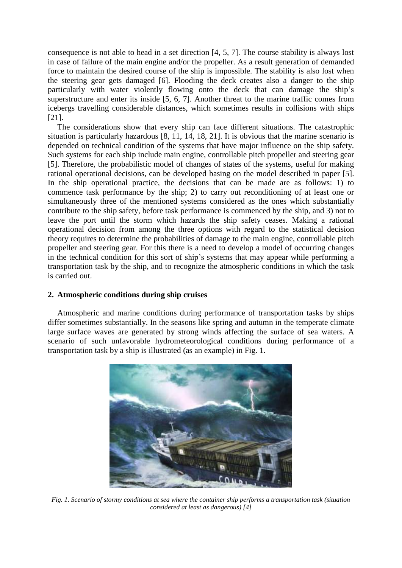consequence is not able to head in a set direction [4, 5, 7]. The course stability is always lost in case of failure of the main engine and/or the propeller. As a result generation of demanded force to maintain the desired course of the ship is impossible. The stability is also lost when the steering gear gets damaged [6]. Flooding the deck creates also a danger to the ship particularly with water violently flowing onto the deck that can damage the ship's superstructure and enter its inside [5, 6, 7]. Another threat to the marine traffic comes from icebergs travelling considerable distances, which sometimes results in collisions with ships [21].

The considerations show that every ship can face different situations. The catastrophic situation is particularly hazardous [8, 11, 14, 18, 21]. It is obvious that the marine scenario is depended on technical condition of the systems that have major influence on the ship safety. Such systems for each ship include main engine, controllable pitch propeller and steering gear [5]. Therefore, the probabilistic model of changes of states of the systems, useful for making rational operational decisions, can be developed basing on the model described in paper [5]. In the ship operational practice, the decisions that can be made are as follows: 1) to commence task performance by the ship; 2) to carry out reconditioning of at least one or simultaneously three of the mentioned systems considered as the ones which substantially contribute to the ship safety, before task performance is commenced by the ship, and 3) not to leave the port until the storm which hazards the ship safety ceases. Making a rational operational decision from among the three options with regard to the statistical decision theory requires to determine the probabilities of damage to the main engine, controllable pitch propeller and steering gear. For this there is a need to develop a model of occurring changes in the technical condition for this sort of ship's systems that may appear while performing a transportation task by the ship, and to recognize the atmospheric conditions in which the task is carried out.

## **2. Atmospheric conditions during ship cruises**

Atmospheric and marine conditions during performance of transportation tasks by ships differ sometimes substantially. In the seasons like spring and autumn in the temperate climate large surface waves are generated by strong winds affecting the surface of sea waters. A scenario of such unfavorable hydrometeorological conditions during performance of a transportation task by a ship is illustrated (as an example) in Fig. 1.



*Fig. 1. Scenario of stormy conditions at sea where the container ship performs a transportation task (situation considered at least as dangerous) [4]*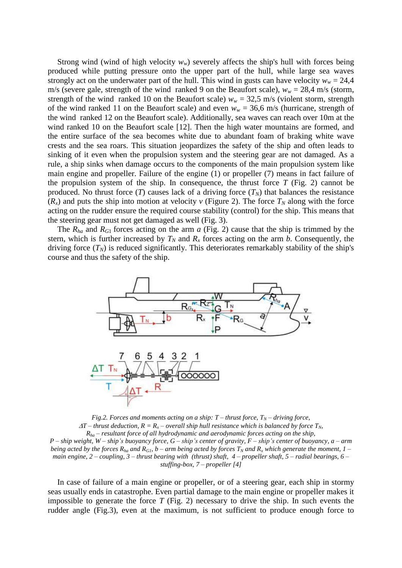Strong wind (wind of high velocity  $w_w$ ) severely affects the ship's hull with forces being produced while putting pressure onto the upper part of the hull, while large sea waves strongly act on the underwater part of the hull. This wind in gusts can have velocity  $w_w = 24.4$ m/s (severe gale, strength of the wind ranked 9 on the Beaufort scale),  $w_w = 28.4$  m/s (storm, strength of the wind ranked 10 on the Beaufort scale)  $w_w = 32.5$  m/s (violent storm, strength of the wind ranked 11 on the Beaufort scale) and even  $w_w = 36.6$  m/s (hurricane, strength of the wind ranked 12 on the Beaufort scale). Additionally, sea waves can reach over 10m at the wind ranked 10 on the Beaufort scale [12]. Then the high water mountains are formed, and the entire surface of the sea becomes white due to abundant foam of braking white wave crests and the sea roars. This situation jeopardizes the safety of the ship and often leads to sinking of it even when the propulsion system and the steering gear are not damaged. As a rule, a ship sinks when damage occurs to the components of the main propulsion system like main engine and propeller. Failure of the engine (1) or propeller (7) means in fact failure of the propulsion system of the ship. In consequence, the thrust force  $T$  (Fig. 2) cannot be produced. No thrust force  $(T)$  causes lack of a driving force  $(T_N)$  that balances the resistance  $(R_x)$  and puts the ship into motion at velocity *v* (Figure 2). The force  $T_N$  along with the force acting on the rudder ensure the required course stability (control) for the ship. This means that the steering gear must not get damaged as well (Fig. 3).

The  $R_{ha}$  and  $R_{G1}$  forces acting on the arm  $a$  (Fig. 2) cause that the ship is trimmed by the stern, which is further increased by  $T_N$  and  $R_X$  forces acting on the arm *b*. Consequently, the driving force  $(T_N)$  is reduced significantly. This deteriorates remarkably stability of the ship's course and thus the safety of the ship.



*Fig.2. Forces and moments acting on a ship: T – <i>thrust force,*  $T_N$  – *driving force,*  $AT$  – *thrust* deduction,  $R = R_r$  – *overall ship hull resistance which is balanced by force*  $T_N$ *, Rha – resultant force of all hydrodynamic and aerodynamic forces acting on the ship, P – ship weight, W – ship's buoyancy force, G – ship's center of gravity, F – ship's center of buoyancy, a – arm being acted by the forces*  $R_{ha}$  *and*  $R_{GI}$ ,  $b$  – *arm being acted by forces*  $T_N$  *and*  $R_X$  *which generate the moment,*  $1$  – *main engine, 2 – coupling, 3 – thrust bearing with (thrust) shaft, 4 – propeller shaft, 5 – radial bearings, 6 – stuffing-box, 7 – propeller [4]*

In case of failure of a main engine or propeller, or of a steering gear, each ship in stormy seas usually ends in catastrophe. Even partial damage to the main engine or propeller makes it impossible to generate the force  $T$  (Fig. 2) necessary to drive the ship. In such events the rudder angle (Fig.3), even at the maximum, is not sufficient to produce enough force to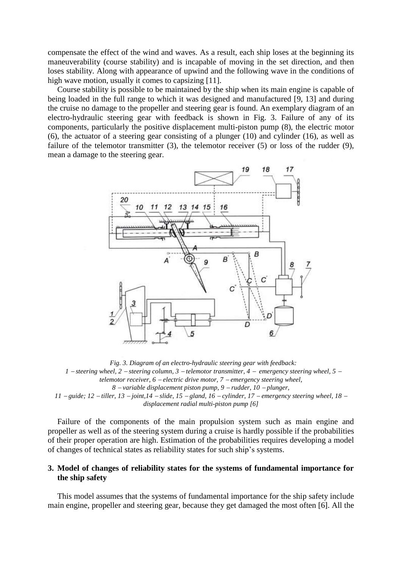compensate the effect of the wind and waves. As a result, each ship loses at the beginning its maneuverability (course stability) and is incapable of moving in the set direction, and then loses stability. Along with appearance of upwind and the following wave in the conditions of high wave motion, usually it comes to capsizing [11].

Course stability is possible to be maintained by the ship when its main engine is capable of being loaded in the full range to which it was designed and manufactured [9, 13] and during the cruise no damage to the propeller and steering gear is found. An exemplary diagram of an electro-hydraulic steering gear with feedback is shown in Fig. 3. Failure of any of its components, particularly the positive displacement multi-piston pump (8), the electric motor (6), the actuator of a steering gear consisting of a plunger (10) and cylinder (16), as well as failure of the telemotor transmitter (3), the telemotor receiver (5) or loss of the rudder (9), mean a damage to the steering gear.



*Fig. 3. Diagram of an electro-hydraulic steering gear with feedback: 1 steering wheel, 2 steering column, 3 telemotor transmitter, 4 emergency steering wheel, 5 telemotor receiver, 6 electric drive motor, 7 emergency steering wheel, 8 variable displacement piston pump, 9 rudder, 10 plunger, 11 guide; 12 tiller, 13 joint,14 slide, 15 gland, 16 cylinder, 17 emergency steering wheel, 18* 

*displacement radial multi-piston pump [6]*

Failure of the components of the main propulsion system such as main engine and propeller as well as of the steering system during a cruise is hardly possible if the probabilities of their proper operation are high. Estimation of the probabilities requires developing a model of changes of technical states as reliability states for such ship's systems.

# **3. Model of changes of reliability states for the systems of fundamental importance for the ship safety**

This model assumes that the systems of fundamental importance for the ship safety include main engine, propeller and steering gear, because they get damaged the most often [6]. All the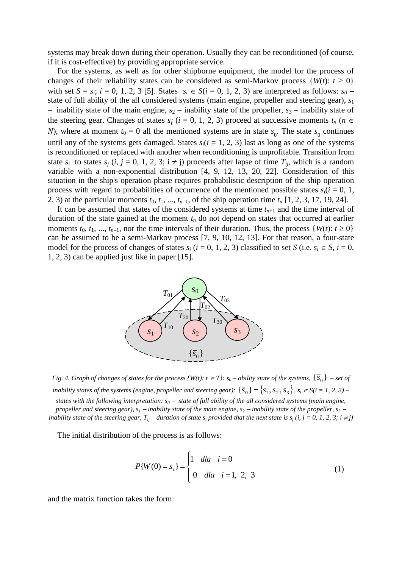systems may break down during their operation. Usually they can be reconditioned (of course, if it is cost-effective) by providing appropriate service.

For the systems, as well as for other shipborne equipment, the model for the process of changes of their reliability states can be considered as semi-Markov process  $\{W(t): t \geq 0\}$ with set  $S = s_i$ ;  $i = 0, 1, 2, 3$  [5]. States  $s_i \in S(i = 0, 1, 2, 3)$  are interpreted as follows:  $s_0$ state of full ability of the all considered systems (main engine, propeller and steering gear), *s*<sup>1</sup>  $\overline{\phantom{a}}$  inability state of the main engine, *s*<sub>2</sub> – inability state of the propeller, *s*<sub>3</sub> – inability state of the steering gear. Changes of states  $s_i$  ( $i = 0, 1, 2, 3$ ) proceed at successive moments  $t_n$  ( $n \in$ *N*), where at moment  $t_0 = 0$  all the mentioned systems are in state  $s_0$ . The state  $s_0$  continues until any of the systems gets damaged. States  $s_i(i = 1, 2, 3)$  last as long as one of the systems is reconditioned or replaced with another when reconditioning is unprofitable. Transition from state  $s_i$  to states  $s_j$  (*i*,  $j = 0, 1, 2, 3$ ;  $i \neq j$ ) proceeds after lapse of time  $T_{ii}$ , which is a random variable with a non-exponential distribution [4, 9, 12, 13, 20, 22]. Consideration of this situation in the ship's operation phase requires probabilistic description of the ship operation process with regard to probabilities of occurrence of the mentioned possible states  $s_i(i = 0, 1, 1)$ 2, 3) at the particular moments  $t_0$ ,  $t_1$ , ...,  $t_{n-1}$ , of the ship operation time  $t_n$  [1, 2, 3, 17, 19, 24].

It can be assumed that states of the considered systems at time  $t_{n+1}$  and the time interval of duration of the state gained at the moment  $t_n$  do not depend on states that occurred at earlier moments  $t_0, t_1, ..., t_{n-1}$ , nor the time intervals of their duration. Thus, the process  $\{W(t): t \geq 0\}$ can be assumed to be a semi-Markov process [7, 9, 10, 12, 13]. For that reason, a four-state model for the process of changes of states  $s_i$  ( $i = 0, 1, 2, 3$ ) classified to set *S* (i.e.  $s_i \in S$ ,  $i = 0$ , 1, 2, 3) can be applied just like in paper [15].



*Fig. 4. Graph of changes of states for the process {W(t):*  $t \in T$ *}:*  $s_0$  *– ability state of the systems,*  $\{\bar{S}_0\}$  – set of *inability states of the systems (engine, propeller and steering gear):*  $\{\bar{s}_0\} = \{s_1, s_2, s_3\}$ ,  $s_i \in S(i = 1, 2, 3)$  – *states with the following interpretation:*  $s_0$  – *state of full ability of the all considered systems (main engine, propeller and steering gear),*  $s_1$  – *inability state of the main engine,*  $s_2$  – *inability state of the propeller,*  $s_3$  – *inability state of the steering gear,*  $T_{ij}$  – *duration of state s<sub>i</sub> provided that the next state is*  $s_j$  *(i, j = 0, 1, 2, 3; i*  $\neq j$ *)* 

The initial distribution of the process is as follows:

$$
P\{W(0) = s_i\} = \begin{cases} 1 & \text{dla} \quad i = 0 \\ 0 & \text{dla} \quad i = 1, \ 2, \ 3 \end{cases}
$$
 (1)

and the matrix function takes the form: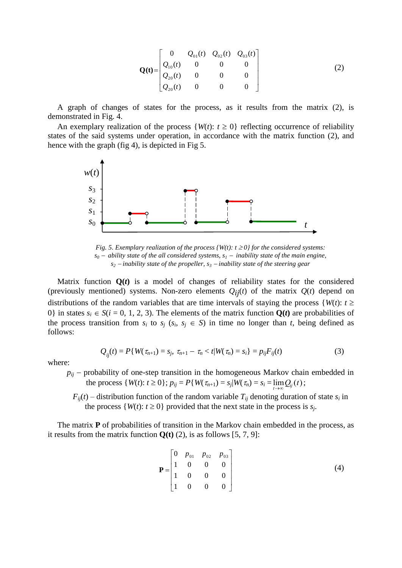$$
\mathbf{Q(t)} = \begin{bmatrix} 0 & Q_{01}(t) & Q_{02}(t) & Q_{03}(t) \\ Q_{10}(t) & 0 & 0 & 0 \\ Q_{20}(t) & 0 & 0 & 0 \\ Q_{20}(t) & 0 & 0 & 0 \end{bmatrix}
$$
(2)

A graph of changes of states for the process, as it results from the matrix (2), is demonstrated in Fig. 4.

An exemplary realization of the process  $\{W(t): t \geq 0\}$  reflecting occurrence of reliability states of the said systems under operation, in accordance with the matrix function (2), and hence with the graph (fig 4), is depicted in Fig 5.



*Fig. 5. Exemplary realization of the process*  $\{W(t): t \geq 0\}$  *for the considered systems:*  $s_0$  – ability state of the all considered systems,  $s_1$  – inability state of the main engine,  $s_2$  – *inability state of the propeller,*  $s_3$  – *inability state of the steering gear* 

Matrix function  $Q(t)$  is a model of changes of reliability states for the considered (previously mentioned) systems. Non-zero elements  $Q_{ij}(t)$  of the matrix  $Q(t)$  depend on distributions of the random variables that are time intervals of staying the process  ${W(t): t \geq 1}$ 0} in states  $s_i \in S(i = 0, 1, 2, 3)$ . The elements of the matrix function  $Q(t)$  are probabilities of the process transition from  $s_i$  to  $s_j$  ( $s_i$ ,  $s_j \in S$ ) in time no longer than *t*, being defined as follows:

$$
Q_{ij}(t) = P\{W(\tau_{n+1}) = s_j, \ \tau_{n+1} - \tau_n < t | W(\tau_n) = s_i\} = p_{ij} F_{ij}(t) \tag{3}
$$

where:

 $p_{ii}$  – probability of one-step transition in the homogeneous Markov chain embedded in the process  $\{W(t): t \ge 0\}$ ;  $p_{ij} = P\{W(\tau_{n+1}) = s_j | W(\tau_n) = s_i = \lim_{t \to \infty} Q_{ij}(t)$ ;

 $F_{ij}(t)$  – distribution function of the random variable  $T_{ij}$  denoting duration of state  $s_i$  in the process  $\{W(t): t \geq 0\}$  provided that the next state in the process is  $s_j$ .

The matrix **P** of probabilities of transition in the Markov chain embedded in the process, as it results from the matrix function  $Q(t)$  (2), is as follows [5, 7, 9]:

$$
\mathbf{P} = \begin{bmatrix} 0 & p_{01} & p_{02} & p_{03} \\ 1 & 0 & 0 & 0 \\ 1 & 0 & 0 & 0 \\ 1 & 0 & 0 & 0 \end{bmatrix}
$$
 (4)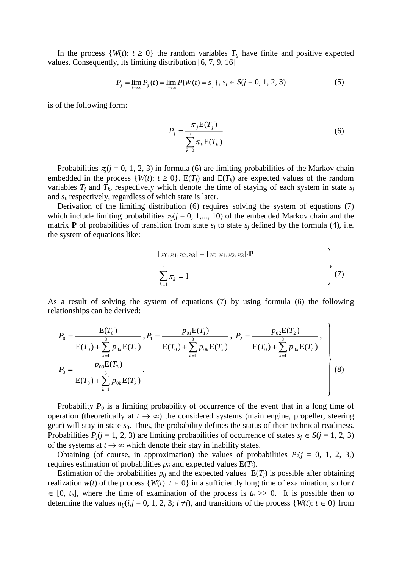In the process  $\{W(t): t \geq 0\}$  the random variables  $T_{ij}$  have finite and positive expected values. Consequently, its limiting distribution [6, 7, 9, 16]

$$
P_j = \lim_{t \to \infty} P_{ij}(t) = \lim_{t \to \infty} P\{W(t) = s_j\}, \, s_j \in S(j = 0, 1, 2, 3)
$$
 (5)

is of the following form:

$$
P_j = \frac{\pi_j \mathbf{E}(T_j)}{\sum_{k=0}^{3} \pi_k \mathbf{E}(T_k)}
$$
(6)

Probabilities  $\pi$ <sub>(</sub> $j$  = 0, 1, 2, 3) in formula (6) are limiting probabilities of the Markov chain embedded in the process  $\{W(t): t \geq 0\}$ .  $E(T_i)$  and  $E(T_k)$  are expected values of the random variables  $T_i$  and  $T_k$ , respectively which denote the time of staying of each system in state  $s_i$ and *s<sup>k</sup>* respectively, regardless of which state is later.

Derivation of the limiting distribution (6) requires solving the system of equations (7) which include limiting probabilities  $\pi_i$ ( $j = 0, 1,..., 10$ ) of the embedded Markov chain and the matrix **P** of probabilities of transition from state  $s_i$  to state  $s_j$  defined by the formula (4), i.e. the system of equations like:

$$
[\pi_0, \pi_1, \pi_2, \pi_3] = [\pi_0 \ \pi_1, \pi_2, \pi_3] \cdot \mathbf{P}
$$
  

$$
\sum_{k=1}^{4} \pi_k = 1
$$
 (7)

 $\ddot{\phantom{a}}$ 

As a result of solving the system of equations (7) by using formula (6) the following relationships can be derived:

$$
P_0 = \frac{E(T_0)}{E(T_0) + \sum_{k=1}^3 p_{0k}E(T_k)}, P_1 = \frac{p_{01}E(T_1)}{E(T_0) + \sum_{k=1}^3 p_{0k}E(T_k)}, P_2 = \frac{p_{02}E(T_2)}{E(T_0) + \sum_{k=1}^3 p_{0k}E(T_k)},
$$
  
\n
$$
P_3 = \frac{p_{03}E(T_3)}{E(T_0) + \sum_{k=1}^3 p_{0k}E(T_k)}.
$$
\n(8)

Probability  $P_0$  is a limiting probability of occurrence of the event that in a long time of operation (theoretically at  $t \to \infty$ ) the considered systems (main engine, propeller, steering gear) will stay in state  $s_0$ . Thus, the probability defines the status of their technical readiness. Probabilities  $P_j$ ( $j = 1, 2, 3$ ) are limiting probabilities of occurrence of states  $s_j \in S$ ( $j = 1, 2, 3$ ) of the systems at  $t \to \infty$  which denote their stay in inability states.

Obtaining (of course, in approximation) the values of probabilities  $P_i$ ( $j = 0, 1, 2, 3$ .) requires estimation of probabilities  $p_{ij}$  and expected values  $E(T_i)$ .

Estimation of the probabilities  $p_{ij}$  and the expected values  $E(T_j)$  is possible after obtaining realization  $w(t)$  of the process  $\{W(t): t \in \{0\} \text{ in a sufficiently long time of examination, so for } t$  $\in$  [0, *t<sub>b</sub>*], where the time of examination of the process is *t<sub>b</sub>* >> 0. It is possible then to determine the values  $n_{ij}$ ( $i, j = 0, 1, 2, 3$ ;  $i \neq j$ ), and transitions of the process {*W*(*t*):  $t \in 0$ } from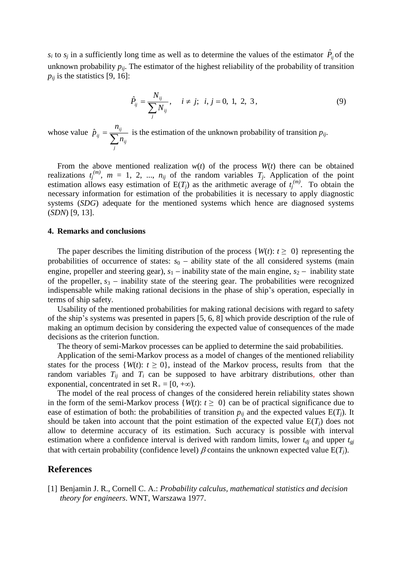$s_i$  to  $s_j$  in a sufficiently long time as well as to determine the values of the estimator  $\hat{P}_{ij}$  of the unknown probability  $p_{ij}$ . The estimator of the highest reliability of the probability of transition  $p_{ij}$  is the statistics [9, 16]:

$$
\hat{P}_{ij} = \frac{N_{ij}}{\sum_j N_{ij}}, \quad i \neq j; \ \ i, j = 0, 1, 2, 3,
$$
\n(9)

whose value  $\overline{=}\,\overline{\sum}% \widetilde{\sum_{i}}\left( \overline{a}_{i}\right) ^{i}\left( \overline{a}_{i}\right) ^{i}\left( \overline{a}_{i}\right) ^{i}\left( \overline{a}_{i}\right) ^{i}\left( \overline{a}_{i}\right) ^{i}\left( \overline{a}_{i}\right) ^{i}\left( \overline{a}_{i}\right) ^{i}\left( \overline{a}_{i}\right) ^{i}\left( \overline{a}_{i}\right) ^{i}\left( \overline{a}_{i}\right) ^{i}\left( \overline{a}_{i}\right) ^{i}\left( \overline{a}_{i}\right) ^{i}\left( \overline{$ *j ij ij ij n*  $\hat{p}_{ii} = \frac{n_{ij}}{\sum_{i}}$  is the estimation of the unknown probability of transition  $p_{ij}$ .

From the above mentioned realization  $w(t)$  of the process  $W(t)$  there can be obtained realizations  $t_j^{(m)}$ ,  $m = 1, 2, ..., n_{ij}$  of the random variables  $T_j$ . Application of the point estimation allows easy estimation of  $E(T_j)$  as the arithmetic average of  $t_j^{(m)}$ . To obtain the necessary information for estimation of the probabilities it is necessary to apply diagnostic systems (*SDG*) adequate for the mentioned systems which hence are diagnosed systems (*SDN*) [9, 13].

#### **4. Remarks and conclusions**

The paper describes the limiting distribution of the process  $\{W(t): t \geq 0\}$  representing the probabilities of occurrence of states:  $s_0$  – ability state of the all considered systems (main engine, propeller and steering gear),  $s_1$  - inability state of the main engine,  $s_2$  - inability state of the propeller,  $s_3$  – inability state of the steering gear. The probabilities were recognized indispensable while making rational decisions in the phase of ship's operation, especially in terms of ship safety.

Usability of the mentioned probabilities for making rational decisions with regard to safety of the ship's systems was presented in papers [5, 6, 8] which provide description of the rule of making an optimum decision by considering the expected value of consequences of the made decisions as the criterion function.

The theory of semi-Markov processes can be applied to determine the said probabilities.

Application of the semi-Markov process as a model of changes of the mentioned reliability states for the process  $\{W(t): t \geq 0\}$ , instead of the Markov process, results from that the random variables  $T_{ij}$  and  $T_i$  can be supposed to have arbitrary distributions, other than exponential, concentrated in set  $R_+ = [0, +\infty)$ .

The model of the real process of changes of the considered herein reliability states shown in the form of the semi-Markov process  $\{W(t): t \geq 0\}$  can be of practical significance due to ease of estimation of both: the probabilities of transition  $p_{ij}$  and the expected values  $E(T_j)$ . It should be taken into account that the point estimation of the expected value  $E(T_i)$  does not allow to determine accuracy of its estimation. Such accuracy is possible with interval estimation where a confidence interval is derived with random limits, lower *tdj* and upper *tgj* that with certain probability (confidence level)  $\beta$  contains the unknown expected value  $E(T_i)$ .

#### **References**

[1] Benjamin J. R., Cornell C. A.: *Probability calculus, mathematical statistics and decision theory for engineers*. WNT, Warszawa 1977.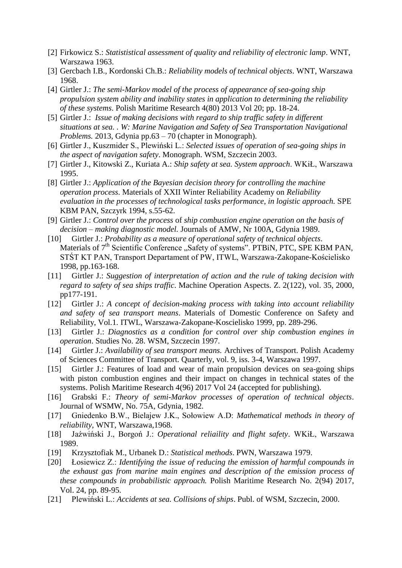- [2] Firkowicz S.: *Statististical assessment of quality and reliability of electronic lamp*. WNT, Warszawa 1963.
- [3] Gercbach I.B., Kordonski Ch.B.: *Reliability models of technical objects*. WNT, Warszawa 1968.
- [4] Girtler J.: *The semi-Markov model of the process of appearance of sea-going ship propulsion system ability and inability states in application to determining the reliability of these systems*. Polish Maritime Research 4(80) 2013 Vol 20; pp. 18-24.
- [5] Girtler J.: *Issue of making decisions with regard to ship traffic safety in different situations at sea. . W: Marine Navigation and Safety of Sea Transportation Navigational Problems.* 2013, Gdynia pp.63 – 70 (chapter in Monograph).
- [6] Girtler J., Kuszmider S., Plewiński L.: *Selected issues of operation of sea-going ships in the aspect of navigation safety*. Monograph. WSM, Szczecin 2003.
- [7] Girtler J., Kitowski Z., Kuriata A.: *Ship safety at sea. System approach*. WKiŁ, Warszawa 1995.
- [8] Girtler J.: *Application of the Bayesian decision theory for controlling the machine operation process*. Materials of XXII Winter Reliability Academy on *Reliability evaluation in the processes of technological tasks performance, in logistic approach.* SPE KBM PAN, Szczyrk 1994, s.55-62.
- [9] Girtler J.: *Control over the process* of *ship combustion engine operation on the basis of decision – making diagnostic model.* Journals of AMW, Nr 100A, Gdynia 1989.
- [10] Girtler J.: *Probability as a measure of operational safety of technical objects*. Materials of  $7<sup>th</sup>$  Scientific Conference  $\Box$ Safety of systems". PTBiN, PTC, SPE KBM PAN, STŚT KT PAN, Transport Departament of PW, ITWL, Warszawa-Zakopane-Kościelisko 1998, pp.163-168.
- [11] Girtler J.: *Suggestion of interpretation of action and the rule of taking decision with regard to safety of sea ships traffic*. Machine Operation Aspects. Z. 2(122), vol. 35, 2000, pp177-191.
- [12] Girtler J.: *A concept of decision-making process with taking into account reliability and safety of sea transport means*. Materials of Domestic Conference on Safety and Reliability, Vol.1. ITWL, Warszawa-Zakopane-Koscielisko 1999, pp. 289-296.
- [13] Girtler J.: *Diagnostics as a condition for control over ship combustion engines in operation*. Studies No. 28. WSM, Szczecin 1997.
- [14] Girtler J.: *Availability of sea transport means.* Archives of Transport. Polish Academy of Sciences Committee of Transport. Quarterly, vol. 9, iss. 3-4, Warszawa 1997.
- [15] Girtler J.: Features of load and wear of main propulsion devices on sea-going ships with piston combustion engines and their impact on changes in technical states of the systems. Polish Maritime Research 4(96) 2017 Vol 24 (accepted for publishing).
- [16] Grabski F.: *Theory of semi-Markov processes of operation of technical objects*. Journal of WSMW, No. 75A, Gdynia, 1982.
- [17] Gniedenko B.W., Bielajew J.K., Sołowiew A.D: *Mathematical methods in theory of reliability,* WNT, Warszawa,1968.
- [18] Jaźwiński J., Borgoń J.: *Operational reliaility and flight safety*. WKiŁ, Warszawa 1989.
- [19] Krzysztofiak M., Urbanek D.: *Statistical methods*. PWN, Warszawa 1979.
- [20] Łosiewicz Z.: *Identifying the issue of reducing the emission of harmful compounds in the exhaust gas from marine main engines and description of the emission process of these compounds in probabilistic approach.* Polish Maritime Research No. 2(94) 2017, Vol. 24, pp. 89-95.
- [21] Plewiński L.: *Accidents at sea. Collisions of ships*. Publ. of WSM, Szczecin, 2000.